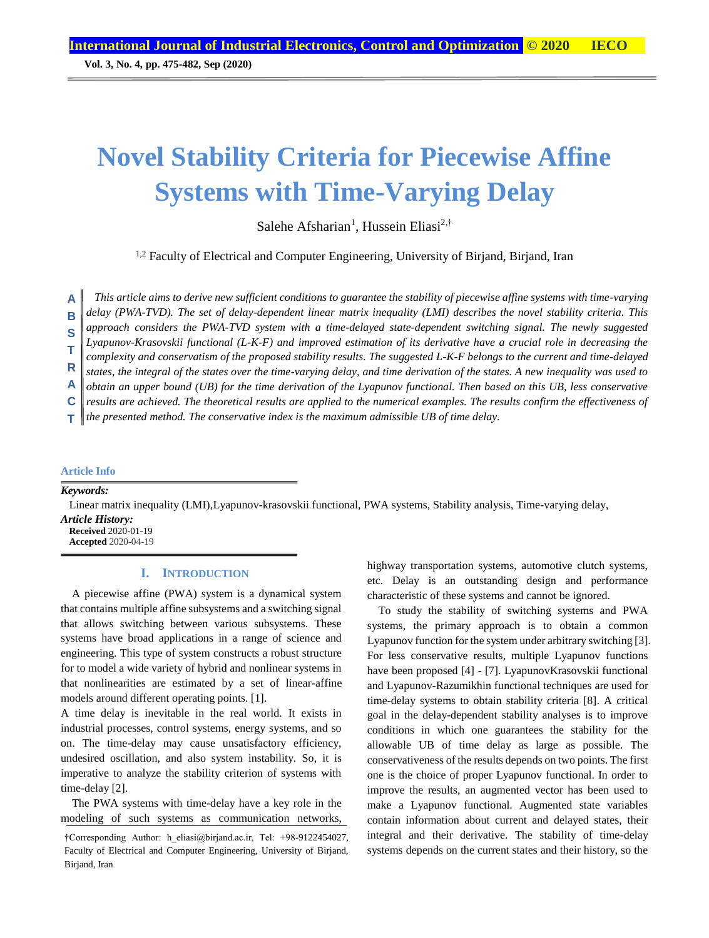**Vol. 3, No. 4, pp. 475-482, Sep (2020)**

# **Novel Stability Criteria for Piecewise Affine Systems with Time-Varying Delay**

Salehe Afsharian<sup>1</sup>, Hussein Eliasi<sup>2,†</sup>

<sup>1,2</sup> Faculty of Electrical and Computer Engineering, University of Birjand, Birjand, Iran

*This article aims to derive new sufficient conditions to guarantee the stability of piecewise affine systems with time-varying delay (PWA-TVD). The set of delay-dependent linear matrix inequality (LMI) describes the novel stability criteria. This*  **A**

*approach considers the PWA-TVD system with a time-delayed state-dependent switching signal. The newly suggested*  **B**

*Lyapunov-Krasovskii functional (L-K-F) and improved estimation of its derivative have a crucial role in decreasing the*  **S**

*complexity and conservatism of the proposed stability results. The suggested L-K-F belongs to the current and time-delayed*  **T**

*states, the integral of the states over the time-varying delay, and time derivation of the states. A new inequality was used to*  **R**

*obtain an upper bound (UB) for the time derivation of the Lyapunov functional. Then based on this UB, less conservative*  **A**

*results are achieved. The theoretical results are applied to the numerical examples. The results confirm the effectiveness of* **C**

*the presented method. The conservative index is the maximum admissible UB of time delay.* **T**

# **Article Info**

*Keywords:*

Linear matrix inequality (LMI),Lyapunov-krasovskii functional, PWA systems, Stability analysis, Time-varying delay, *Article History:*

**Received** 2020-01-19 **Accepted** 2020-04-19

# **I. INTRODUCTION**

A piecewise affine (PWA) system is a dynamical system that contains multiple affine subsystems and a switching signal that allows switching between various subsystems. These systems have broad applications in a range of science and engineering. This type of system constructs a robust structure for to model a wide variety of hybrid and nonlinear systems in that nonlinearities are estimated by a set of linear-affine models around different operating points. [1].

A time delay is inevitable in the real world. It exists in industrial processes, control systems, energy systems, and so on. The time-delay may cause unsatisfactory efficiency, undesired oscillation, and also system instability. So, it is imperative to analyze the stability criterion of systems with time-delay [2].

The PWA systems with time-delay have a key role in the modeling of such systems as communication networks, highway transportation systems, automotive clutch systems, etc. Delay is an outstanding design and performance characteristic of these systems and cannot be ignored.

To study the stability of switching systems and PWA systems, the primary approach is to obtain a common Lyapunov function for the system under arbitrary switching [3]. For less conservative results, multiple Lyapunov functions have been proposed [4] - [7]. LyapunovKrasovskii functional and Lyapunov-Razumikhin functional techniques are used for time-delay systems to obtain stability criteria [8]. A critical goal in the delay-dependent stability analyses is to improve conditions in which one guarantees the stability for the allowable UB of time delay as large as possible. The conservativeness of the results depends on two points. The first one is the choice of proper Lyapunov functional. In order to improve the results, an augmented vector has been used to make a Lyapunov functional. Augmented state variables contain information about current and delayed states, their integral and their derivative. The stability of time-delay systems depends on the current states and their history, so the

<sup>†</sup>Corresponding Author: h\_eliasi@birjand.ac.ir, Tel: +98-9122454027, Faculty of Electrical and Computer Engineering, University of Birjand, Birjand, Iran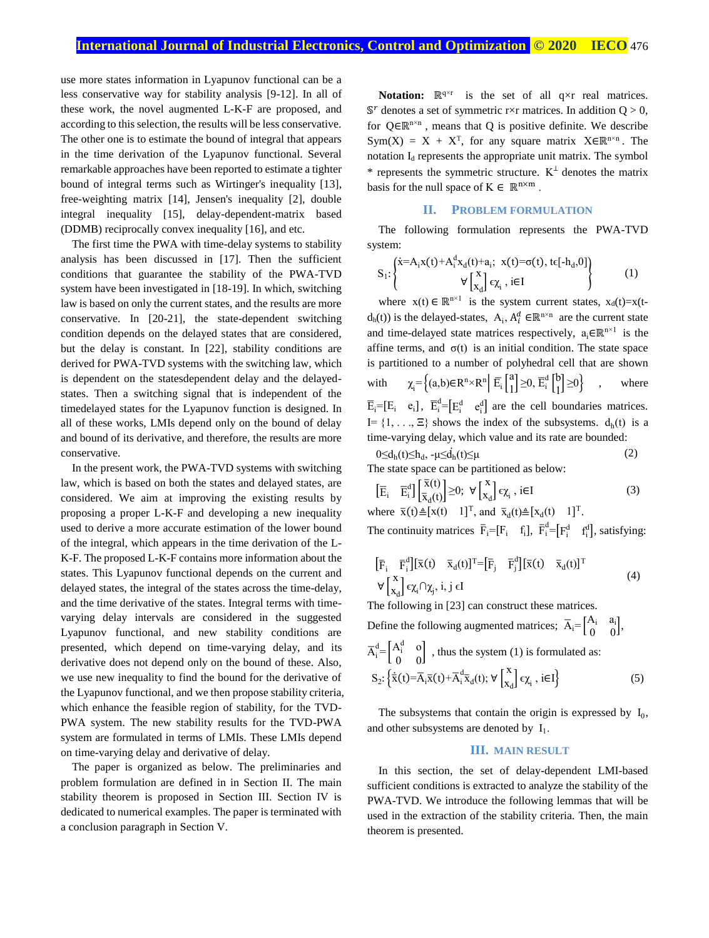use more states information in Lyapunov functional can be a less conservative way for stability analysis [9-12]. In all of these work, the novel augmented L-K-F are proposed, and according to this selection, the results will be less conservative. The other one is to estimate the bound of integral that appears in the time derivation of the Lyapunov functional. Several remarkable approaches have been reported to estimate a tighter bound of integral terms such as Wirtinger's inequality [13], free-weighting matrix [14], Jensen's inequality [2], double integral inequality [15], delay-dependent-matrix based (DDMB) reciprocally convex inequality [16], and etc.

The first time the PWA with time-delay systems to stability analysis has been discussed in [17]. Then the sufficient conditions that guarantee the stability of the PWA-TVD system have been investigated in [18-19]. In which, switching law is based on only the current states, and the results are more conservative. In [20-21], the state-dependent switching condition depends on the delayed states that are considered, but the delay is constant. In [22], stability conditions are derived for PWA-TVD systems with the switching law, which is dependent on the statesdependent delay and the delayedstates. Then a switching signal that is independent of the timedelayed states for the Lyapunov function is designed. In all of these works, LMIs depend only on the bound of delay and bound of its derivative, and therefore, the results are more conservative.

In the present work, the PWA-TVD systems with switching law, which is based on both the states and delayed states, are considered. We aim at improving the existing results by proposing a proper L-K-F and developing a new inequality used to derive a more accurate estimation of the lower bound of the integral, which appears in the time derivation of the L-K-F. The proposed L-K-F contains more information about the states. This Lyapunov functional depends on the current and delayed states, the integral of the states across the time-delay, and the time derivative of the states. Integral terms with timevarying delay intervals are considered in the suggested Lyapunov functional, and new stability conditions are presented, which depend on time-varying delay, and its derivative does not depend only on the bound of these. Also, we use new inequality to find the bound for the derivative of the Lyapunov functional, and we then propose stability criteria, which enhance the feasible region of stability, for the TVD-PWA system. The new stability results for the TVD-PWA system are formulated in terms of LMIs. These LMIs depend on time-varying delay and derivative of delay.

The paper is organized as below. The preliminaries and problem formulation are defined in in Section II. The main stability theorem is proposed in Section III. Section IV is dedicated to numerical examples. The paper is terminated with a conclusion paragraph in Section V.

**Notation:**  $\mathbb{R}^{q \times r}$  is the set of all q×r real matrices.  $\mathbb{S}^r$  denotes a set of symmetric r×r matrices. In addition  $Q > 0$ , for  $Q \in \mathbb{R}^{n \times n}$ , means that Q is positive definite. We describe  $Sym(X) = X + X^{T}$ , for any square matrix  $X \in \mathbb{R}^{n \times n}$ . The notation  $I_d$  represents the appropriate unit matrix. The symbol \* represents the symmetric structure.  $K^{\perp}$  denotes the matrix basis for the null space of  $K \in \mathbb{R}^{n \times m}$ .

#### **II. PROBLEM FORMULATION**

The following formulation represents the PWA-TVD system:

$$
S_1: \left\{\begin{aligned} &\dot{x} = A_i x(t) + A_i^d x_d(t) + a_i; ~~x(t) = \sigma(t), ~t\epsilon[-h_d,0]\\ &\forall \begin{bmatrix} x\\ x_d \end{bmatrix} \epsilon \chi_i~, ~i\in I \end{aligned}\right\} \tag{1}
$$

where  $x(t) \in \mathbb{R}^{n \times 1}$  is the system current states,  $x_d(t)=x(t$  $d_h(t)$ ) is the delayed-states,  $A_i$ ,  $A_i^d \in \mathbb{R}^{n \times n}$  are the current state and time-delayed state matrices respectively,  $a_i \in \mathbb{R}^{n \times 1}$  is the affine terms, and  $\sigma(t)$  is an initial condition. The state space is partitioned to a number of polyhedral cell that are shown with  $\mathbf{E}_i = \left\{ (a,b) \in \mathbb{R}^n \times \mathbb{R}^n \middle| \overline{\mathbb{E}}_i \left[ \begin{matrix} a \\ 1 \end{matrix} \right] \right\}$  $\begin{bmatrix} a \\ 1 \end{bmatrix} \geq 0$ ,  $\overline{E}_i^d \begin{bmatrix} b \\ 1 \end{bmatrix}$  $\begin{bmatrix} 0 \\ 1 \end{bmatrix} \ge 0$  , where  $\overline{E}_i = [E_i \quad e_i], \ \overline{E}_i^d = [E_i^d \quad e_i^d]$  are the cell boundaries matrices.  $I = \{1, \ldots, \Xi\}$  shows the index of the subsystems.  $d_h(t)$  is a time-varying delay, which value and its rate are bounded:  $\sim$ i $\sim$ 

$$
0 \le d_h(t) \le h_d, -\mu \le d_h(t) \le \mu
$$
  
The state space can be partitioned as below: (2)

$$
\left[\overline{E}_{i} \quad \overline{E}_{i}^{d}\right] \left[\frac{\overline{x}(t)}{\overline{x}_{d}(t)}\right] \geq 0; \ \forall \left[\frac{x}{x_{d}}\right] \epsilon \chi_{i}, \ i \in I \tag{3}
$$

where  $\overline{x}(t) \triangleq [x(t) \quad 1]^T$ , and  $\overline{x}_d(t) \triangleq [x_d(t) \quad 1]^T$ . The continuity matrices  $\bar{F}_i = [F_i \quad f_i]$ ,  $\bar{F}_i^d = [F_i^d \quad f_i^d]$ , satisfying:

$$
\begin{aligned}\n\left[\bar{F}_{i} \quad \bar{F}_{i}^{d}\right] & \left[\bar{x}(t) \quad \bar{x}_{d}(t)\right]^{T} = \left[\bar{F}_{j} \quad \bar{F}_{j}^{d}\right] \left[\bar{x}(t) \quad \bar{x}_{d}(t)\right]^{T} \\
&\forall \begin{bmatrix} x \\ x_{d} \end{bmatrix} \epsilon \chi_{i} \cap \chi_{j}, i, j \in I\n\end{aligned} \tag{4}
$$

The following in [23] can construct these matrices.

Define the following augmented matrices;  $\overline{A}_i = \begin{bmatrix} A_i & a_i \\ 0 & 0 \end{bmatrix}$  $\begin{bmatrix} a_1 & a_1 \\ 0 & 0 \end{bmatrix}$  $\overline{A}_i^d = \begin{bmatrix} A_i^d & 0 \\ 0 & 0 \end{bmatrix}$  $\begin{pmatrix} 1 & 0 \\ 0 & 0 \end{pmatrix}$ , thus the system (1) is formulated as:  $S_2$ :  $\left\{\dot{\overline{x}}(t) = \overline{A}_i \overline{x}(t) + \overline{A}_i^d \overline{x}_d(t); \forall \begin{bmatrix} x \\ x \end{bmatrix}\right\}$  $\left[\sum_{X_d} \epsilon \chi_i, i \in I \right]$  (5)

The subsystems that contain the origin is expressed by  $I_0$ , and other subsystems are denoted by  $I_1$ .

#### **III. MAIN RESULT**

In this section, the set of delay-dependent LMI-based sufficient conditions is extracted to analyze the stability of the PWA-TVD. We introduce the following lemmas that will be used in the extraction of the stability criteria. Then, the main theorem is presented.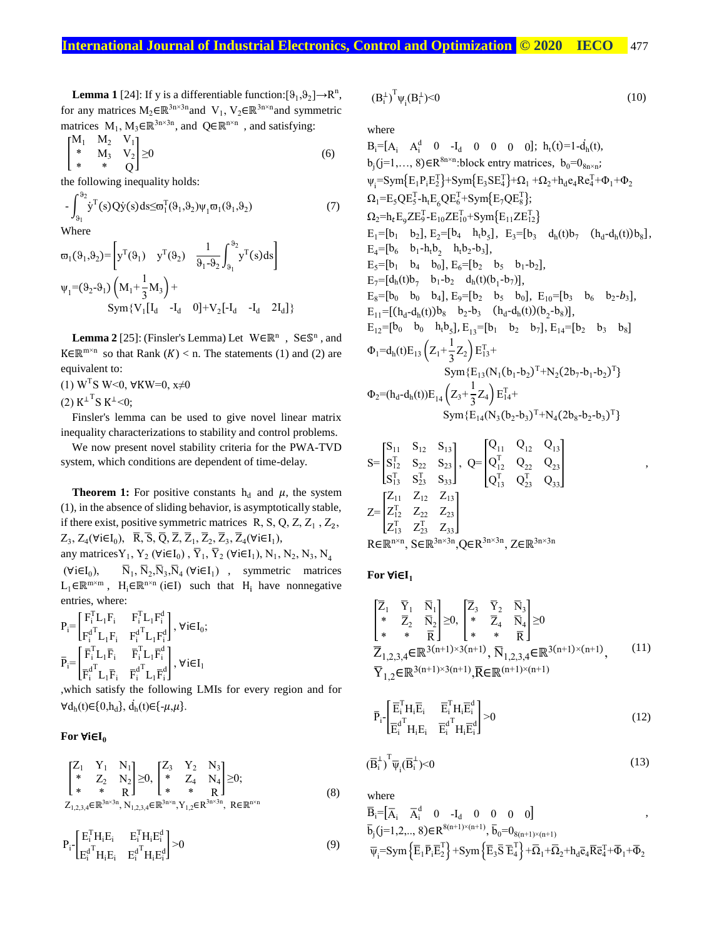**Lemma 1** [24]: If y is a differentiable function:  $[\vartheta_1, \vartheta_2] \rightarrow \mathbb{R}^n$ , for any matrices  $M_2 \in \mathbb{R}^{3n \times 3n}$  and  $V_1$ ,  $V_2 \in \mathbb{R}^{3n \times n}$  and symmetric matrices  $M_1, M_3 \in \mathbb{R}^{3n \times 3n}$ , and  $Q \in \mathbb{R}^{n \times n}$ , and satisfying:

$$
\begin{bmatrix} M_1 & M_2 & V_1 \\ * & M_3 & V_2 \\ * & * & Q \end{bmatrix} \ge 0
$$
 (6)

the following inequality holds:

$$
-\int_{\vartheta_1}^{\vartheta_2} \dot{y}^T(s) Q \dot{y}(s) ds \leq \varpi_1^T(\vartheta_1, \vartheta_2) \psi_1 \varpi_1(\vartheta_1, \vartheta_2)
$$
\nWhere

\n
$$
\tag{7}
$$

$$
\varpi_1(\vartheta_1, \vartheta_2) = \left[ y^T(\vartheta_1) \quad y^T(\vartheta_2) \quad \frac{1}{\vartheta_1 - \vartheta_2} \int_{\vartheta_1}^{\vartheta_2} y^T(s) ds \right]
$$
  

$$
\psi_1 = (\vartheta_2 - \vartheta_1) \left( M_1 + \frac{1}{3} M_3 \right) +
$$
  

$$
\text{Sym} \{ V_1 [\mathbf{I}_d \quad -\mathbf{I}_d \quad 0] + V_2 [-\mathbf{I}_d \quad -\mathbf{I}_d \quad 2\mathbf{I}_d] \}
$$

**Lemma 2** [25]: (Finsler's Lemma) Let  $W \in \mathbb{R}^n$ ,  $S \in \mathbb{S}^n$ , and K∈ $\mathbb{R}^{\text{m}\times\text{n}}$  so that Rank  $(K) < \text{n}$ . The statements (1) and (2) are equivalent to:

(1) W<sup>T</sup>S W<0, ∀KW=0, x≠0

(2)  $K^{\perp T}S K^{\perp} < 0;$ 

Finsler's lemma can be used to give novel linear matrix inequality characterizations to stability and control problems.

We now present novel stability criteria for the PWA-TVD system, which conditions are dependent of time-delay.

**Theorem 1:** For positive constants  $h_d$  and  $\mu$ , the system (1), in the absence of sliding behavior, is asymptotically stable, if there exist, positive symmetric matrices  $R, S, Q, Z, Z_1, Z_2, Z_1$  $Z_3$ ,  $Z_4(\forall i \in I_0)$ ,  $\overline{R}$ ,  $\overline{S}$ ,  $\overline{Q}$ ,  $\overline{Z}$ ,  $\overline{Z}_1$ ,  $\overline{Z}_2$ ,  $\overline{Z}_3$ ,  $\overline{Z}_4(\forall i \in I_1)$ ,

any matrices  $Y_1, Y_2$  ( $\forall i \in I_0$ ),  $\overline{Y}_1, \overline{Y}_2$  ( $\forall i \in I_1$ ),  $N_1, N_2, N_3, N_4$  $(\forall i \in I_0),$ ),  $\overline{N}_1$ ,  $\overline{N}_2$ ,  $\overline{N}_3$ ,  $\overline{N}_4$  ( $\forall i \in I_1$ ), symmetric matrices  $L_1 \in \mathbb{R}^{m \times m}$ , H<sub>i</sub> $\in \mathbb{R}^{n \times n}$  (i $\in I$ ) such that H<sub>i</sub> have nonnegative entries, where:

$$
\begin{aligned} &P_i\!\!=\!\!\begin{bmatrix} F_i^T L_1 F_i & F_i^T L_1 F_i^d \\ F_i^d{}^T L_1 F_i & F_i^d{}^T L_1 F_i^d \end{bmatrix}\!,\,\forall i\!\in\! I_0;\\ &\bar{P}_i\!\!=\!\!\begin{bmatrix} \bar{F}_i^T L_1 \bar{F}_i & \bar{F}_i^T L_1 \bar{F}_i^d \\ \bar{F}_i^d{}^T L_1 \bar{F}_i & \bar{F}_i^d{}^T L_1 \bar{F}_i^d \end{bmatrix}\!,\,\forall i\!\in\! I_1 \end{aligned}
$$

,which satisfy the following LMIs for every region and for  $\forall d_h(t) \in \{0, h_d\}, d_h(t) \in \{-\mu, \mu\}.$ 

## **For** ∀**i**∈**I<sup>0</sup>**

$$
\begin{bmatrix} Z_1 & Y_1 & N_1 \ * & Z_2 & N_2 \ * & * & Z_4 & N_4 \end{bmatrix} \ge 0, \begin{bmatrix} Z_3 & Y_2 & N_3 \ * & Z_4 & N_4 \ * & * & R \end{bmatrix} \ge 0; Z_{1,2,3,4} \in \mathbb{R}^{3n \times 3n}, N_{1,2,3,4} \in \mathbb{R}^{3n \times 3n}, Y_{1,2} \in \mathbb{R}^{3n \times 3n}, \mathbb{R} \in \mathbb{R}^{n \times n}
$$
 (8)

$$
P_{i} - \begin{bmatrix} E_{i}^{T} H_{i} E_{i} & E_{i}^{T} H_{i} E_{i}^{d} \\ E_{i}^{d^{T}} H_{i} E_{i} & E_{i}^{d^{T}} H_{i} E_{i}^{d} \end{bmatrix} > 0
$$
\n(9)

$$
(B_i^{\perp})^T \psi_i (B_i^{\perp}) < 0 \tag{10}
$$

where

 $B_i = [A_i \ A_i^d \ 0 \ -I_d \ 0 \ 0 \ 0 \ 0]; h_t(t) = 1 - d_h(t),$  $b_j$ (j=1,..., 8)∈R<sup>8n×n</sup>:block entry matrices,  $b_0=0$ <sub>8n×n</sub>;  $\Psi_i$ =Sym{E<sub>1</sub>P<sub>i</sub>E<sub>2</sub>}+Sym{E<sub>3</sub>SE<sub>4</sub>}+Ω<sub>1</sub> +Ω<sub>2</sub>+h<sub>d</sub>e<sub>4</sub>Re<sub>4</sub><sup>T</sup>+Φ<sub>1</sub>+Φ<sub>2</sub>  $\Omega_1 = E_5 Q E_5^T - h_t E_6 Q E_6^T + Sym\{E_7 Q E_8^T\};$  $\Omega_2$ =h<sub>t</sub>E<sub>9</sub>ZE<sup>T</sup><sub>-E<sub>10</sub>ZE<sup>T</sup><sub>10</sub>+Sym{E<sub>11</sub>ZE<sup>T</sup><sub>12</sub>}</sub>  $E_1 = [b_1 \quad b_2], E_2 = [b_4 \quad h_t b_5], E_3 = [b_3 \quad d_h(t) b_7 \quad (h_d - d_h(t)) b_8],$  $E_4 = [b_6 \quad b_1 - h_t b_2 \quad h_t b_2 - b_3],$  $E_5=[b_1 \quad b_4 \quad b_0], E_6=[b_2 \quad b_5 \quad b_1-b_2],$  $E_7 = [d_h(t)b_7 \quad b_1-b_2 \quad d_h(t)(b_1-b_7)],$  $E_8 = [b_0 \quad b_0 \quad b_4], E_9 = [b_2 \quad b_5 \quad b_0], E_{10} = [b_3 \quad b_6 \quad b_2 - b_3],$  $E_{11} = [(h_d-d_h(t))b_8 \quad b_2-b_3 \quad (h_d-d_h(t))(b_2-b_8)],$  $E_{12}=[b_0 \quad b_0 \quad h_t b_5]$ ,  $E_{13}=[b_1 \quad b_2 \quad b_7]$ ,  $E_{14}=[b_2 \quad b_3 \quad b_8]$ 5  $\Phi_1 = d_h(t) E_{13} \left( Z_1 + \frac{1}{3} \right)$  $\frac{1}{3}Z_2\Big)E_{13}^{T}+$  $Sym{E_{13}(N_1(b_1-b_2)^T+N_2(2b_7-b_1-b_2)^T}$  $\Phi_2 = (h_d - d_h(t))E_{14} \left( Z_3 + \frac{1}{3} \right)$  $\frac{1}{3}Z_4$   $E_{14}^{T}$ +  $Sym{E_{14}(N_3(b_2-b_3)^T+N_4(2b_8-b_2-b_3)^T}$ 

$$
S = \begin{bmatrix} S_{11} & S_{12} & S_{13} \\ S_{12}^T & S_{22} & S_{23} \\ S_{13}^T & S_{23}^T & S_{33} \end{bmatrix}, Q = \begin{bmatrix} Q_{11} & Q_{12} & Q_{13} \\ Q_{12}^T & Q_{22} & Q_{23} \\ Q_{13}^T & Q_{23}^T & Q_{33} \end{bmatrix},
$$
  
\n
$$
Z = \begin{bmatrix} Z_{11} & Z_{12} & Z_{13} \\ Z_{12}^T & Z_{22} & Z_{23} \\ Z_{13}^T & Z_{23}^T & Z_{33} \end{bmatrix}
$$
  
\n
$$
R \in \mathbb{R}^{n \times n}, S \in \mathbb{R}^{3n \times 3n}, Q \in R^{3n \times 3n}, Z \in \mathbb{R}^{3n \times 3n}
$$

**For** ∀**i**∈**I<sup>1</sup>**

 $\overline{\phantom{a}}$ 

$$
\begin{bmatrix}\n\overline{Z}_{1} & \overline{Y}_{1} & \overline{N}_{1} \\
* & \overline{Z}_{2} & \overline{N}_{2} \\
* & * & \overline{R}\n\end{bmatrix} \ge 0, \begin{bmatrix}\n\overline{Z}_{3} & \overline{Y}_{2} & \overline{N}_{3} \\
* & \overline{Z}_{4} & \overline{N}_{4} \\
* & * & \overline{R}\n\end{bmatrix} \ge 0
$$
\n
$$
\overline{Z}_{1,2,3,4} \in \mathbb{R}^{3(n+1)\times 3(n+1)}, \overline{N}_{1,2,3,4} \in \mathbb{R}^{3(n+1)\times (n+1)},
$$
\n
$$
\overline{Y}_{1,2} \in \mathbb{R}^{3(n+1)\times 3(n+1)}, \overline{R} \in \mathbb{R}^{(n+1)\times (n+1)}
$$
\n(11)

$$
\overline{P}_{i}\left[\begin{matrix} \overline{E}_{i}^{T}H_{i}\overline{E}_{i} & \overline{E}_{i}^{T}H_{i}\overline{E}_{i}^{d} \\ \overline{E}_{i}^{d^{T}}H_{i}E_{i} & \overline{E}_{i}^{d^{T}}H_{i}\overline{E}_{i}^{d} \end{matrix}\right] > 0
$$
\n(12)

$$
\overline{B}_{i}^{\perp}\right)^{T}\overline{\psi}_{i}(\overline{B}_{i}^{\perp})<0
$$
\n(13)

where  
\n
$$
\overline{B}_{i} = \begin{bmatrix} \overline{A}_{i} & \overline{A}_{i}^{d} & 0 & -I_{d} & 0 & 0 & 0 \end{bmatrix}
$$
\n
$$
\overline{b}_{j} (j=1,2, ..., 8) \in R^{8(n+1)\times(n+1)}, \overline{b}_{0} = 0_{8(n+1)\times(n+1)}
$$
\n
$$
\overline{\psi}_{i} = Sym \left\{ \overline{E}_{1} \overline{P}_{i} \overline{E}_{2}^{T} \right\} + Sym \left\{ \overline{E}_{3} \overline{S} \ \overline{E}_{4}^{T} \right\} + \overline{\Omega}_{1} + \overline{\Omega}_{2} + h_{d} \overline{e}_{4} \overline{R} \overline{e}_{4}^{T} + \overline{\Phi}_{1} + \overline{\Phi}_{2}
$$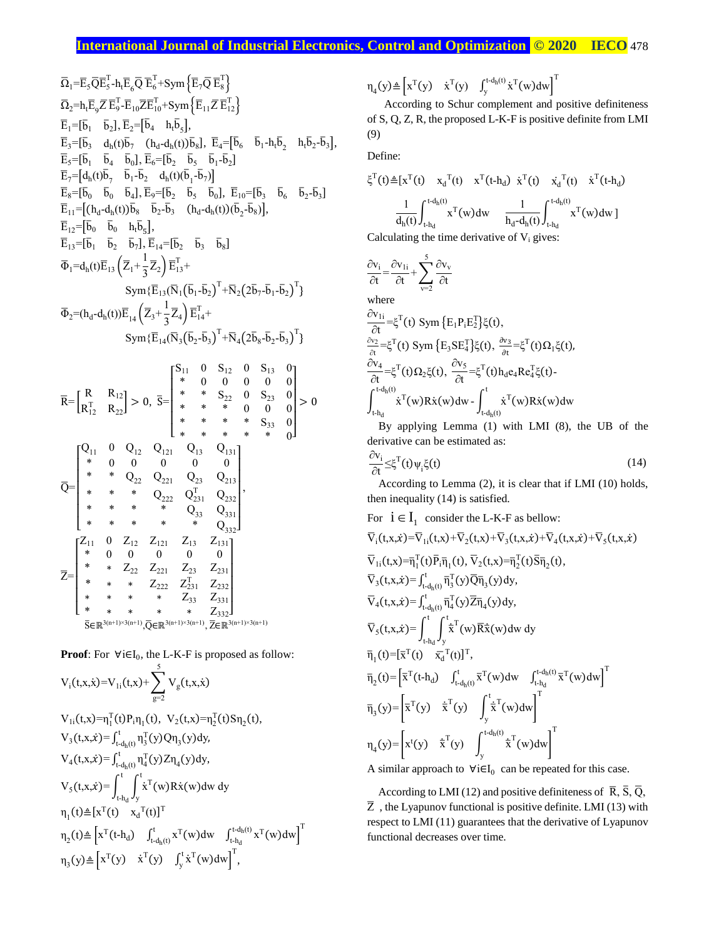Ω̅1=E̅5Q̅E̅<sup>5</sup> T -htE̅ 6 Q̅ ̅E<sup>6</sup> T +Sym {E̅7Q̅ E̅<sup>8</sup> T } Ω̅2=htE̅ 9 Z̅E̅<sup>9</sup> T -E̅10Z̅E̅<sup>10</sup> T +Sym {E̅11Z̅E̅<sup>12</sup> T } E̅1=[b̅ <sup>1</sup> b̅ 2 ], E̅2=[b̅ <sup>4</sup> htb̅ 5 ], E̅3=[b̅ <sup>3</sup> d<sup>h</sup> (t)b̅ 7 (h<sup>d</sup> -d<sup>h</sup> (t))b̅ 8 ], E̅4=[b̅ <sup>6</sup> b̅ 1 -htb̅ 2 htb̅ 2 -b̅ 3], E̅5=[b̅ <sup>1</sup> b̅ <sup>4</sup> b̅ 0 ], E̅6=[b̅ <sup>2</sup> b̅ <sup>5</sup> b̅ 1 -b̅ 2 ] E̅7=[d<sup>h</sup> (t)b̅ 7 b̅ 1 -b̅ <sup>2</sup> d<sup>h</sup> (t)(b̅ 1 -b̅ 7 )] E̅8=[b̅ <sup>0</sup> b̅ <sup>0</sup> b̅ 4 ], E̅9=[b̅ <sup>2</sup> b̅ <sup>5</sup> b̅ 0 ], E̅10=[b̅ <sup>3</sup> b̅ <sup>6</sup> b̅ 2 -b̅ 3 ] E̅11=[(h<sup>d</sup> -d<sup>h</sup> (t))b̅ <sup>8</sup> b̅ 2 -b̅ 3 (h<sup>d</sup> -d<sup>h</sup> (t))(b̅ 2 -b̅ 8 )], E̅12=[b̅ <sup>0</sup> b̅ <sup>0</sup> htb̅ 5 ], E̅13=[b̅ <sup>1</sup> b̅ <sup>2</sup> b̅ 7 ], E̅14=[b̅ <sup>2</sup> b̅ <sup>3</sup> b̅ 8 ] Φ̅1=d<sup>h</sup> (t)E̅<sup>13</sup> (Z̅1+ 1 3 Z̅2) E̅<sup>13</sup> T + Sym{E̅13(N̅1(b̅ 1 -b̅ 2) T +N̅2(2b̅ 7 -b̅ 1 -b̅ 2) T } Φ̅2=(h<sup>d</sup> -d<sup>h</sup> (t))E̅ <sup>14</sup> (Z̅3<sup>+</sup> 1 3 Z̅4) E̅<sup>14</sup> T + Sym{E̅14(N̅3(b̅ 2 -b̅ 3) T +N̅4(2b̅ 8 -b̅ 2 -b̅ 3) T } R̅= [ R R<sup>12</sup> R<sup>12</sup> <sup>T</sup> R<sup>22</sup> ] > 0, S̅= [ S<sup>11</sup> 0 S<sup>12</sup> 0 S<sup>13</sup> 0 \* 0 0 0 0 0 \* \* S<sup>22</sup> 0 S<sup>23</sup> 0 \* \* \* 0 0 0 \* \* \* \* S<sup>33</sup> 0 \* \* \* \* \* 0] > 0 Q̅= [ Q<sup>11</sup> 0 Q<sup>12</sup> Q<sup>121</sup> Q<sup>13</sup> Q<sup>131</sup> \* 0 0 0 0 0 \* \* Q<sup>22</sup> Q<sup>221</sup> Q<sup>23</sup> Q<sup>213</sup> \* \* \* Q<sup>222</sup> Q<sup>231</sup> <sup>T</sup> <sup>Q</sup><sup>232</sup> \* \* \* \* Q<sup>33</sup> Q<sup>331</sup> \* \* \* \* \* Q332] , Z̅= [ Z<sup>11</sup> 0 Z<sup>12</sup> Z<sup>121</sup> Z<sup>13</sup> Z<sup>131</sup> \* 0 0 0 0 0 \* ∗ Z<sup>22</sup> Z<sup>221</sup> Z<sup>23</sup> Z<sup>231</sup> *\** ∗ ∗ Z<sup>222</sup> Z<sup>231</sup> <sup>T</sup> Z<sup>232</sup> ∗ ∗ ∗ ∗ Z<sup>33</sup> Z<sup>331</sup> \* ∗ ∗ ∗ ∗ Z332] S̅∈ℝ 3(n+1)×3(n+1) ,Q̅∈ℝ 3(n+1)×3(n+1) , Z̅∈ℝ 3(n+1)×3(n+1)

**Proof:** For  $\forall i \in I_0$ , the L-K-F is proposed as follow:

5

$$
V_{i}(t,x,\dot{x})=V_{1i}(t,x)+\sum_{g=2}V_{g}(t,x,\dot{x})
$$
  
\n
$$
V_{1i}(t,x)=\eta_{i}^{T}(t)P_{i}\eta_{1}(t), V_{2}(t,x)=\eta_{2}^{T}(t)S\eta_{2}(t),
$$
  
\n
$$
V_{3}(t,x,\dot{x})=\int_{t-d_{h}(t)}^{t}\eta_{3}^{T}(y)Q\eta_{3}(y)dy,
$$
  
\n
$$
V_{4}(t,x,\dot{x})=\int_{t-d_{h}(t)}^{t}\eta_{4}^{T}(y)Z\eta_{4}(y)dy,
$$
  
\n
$$
V_{5}(t,x,\dot{x})=\int_{t-d_{h}}^{t}\int_{y}^{t}\dot{x}^{T}(w)R\dot{x}(w)dw dy
$$
  
\n
$$
\eta_{1}(t)\triangleq[x^{T}(t) x_{d}^{T}(t)]^{T}
$$
  
\n
$$
\eta_{2}(t)\triangleq\left[x^{T}(t+d_{d}) \int_{t-d_{h}(t)}^{t}x^{T}(w)dw \int_{t-d_{h}}^{t-d_{h}(t)}x^{T}(w)dw\right]^{T}
$$
  
\n
$$
\eta_{3}(y)\triangleq\left[x^{T}(y) x^{T}(y) \int_{y}^{t}\dot{x}^{T}(w)dw\right]^{T},
$$

 $\eta_4(y) \triangleq \left[ x^T(y) \quad \dot{x}^T(y) \quad \int_y^{t \cdot d_h(t)} \dot{x}^T(w) dw \right]$  $\int_{y}^{t-d_h(t)} \dot{x}^T(w)dw\Big]^T$ 

According to Schur complement and positive definiteness of S, Q, Z, R, the proposed L-K-F is positive definite from LMI (9)

Define:

$$
\xi^{T}(t) \triangleq [x^{T}(t) \quad x_{d}^{T}(t) \quad x^{T}(t+h_{d}) \quad \dot{x}^{T}(t) \quad x_{d}^{T}(t) \quad \dot{x}^{T}(t+h_{d})
$$
\n
$$
\frac{1}{d_{h}(t)} \int_{t+h_{d}}^{t-d_{h}(t)} x^{T}(w) dw \quad \frac{1}{h_{d} - d_{h}(t)} \int_{t+h_{d}}^{t-d_{h}(t)} x^{T}(w) dw ]
$$

Calculating the time derivative of  $V_i$  gives:

$$
\frac{\partial v_i}{\partial t} = \frac{\partial v_{1i}}{\partial t} + \sum_{v=2}^{5} \frac{\partial v_v}{\partial t}
$$
\nwhere  
\n
$$
\frac{\partial v_{1i}}{\partial t} = \xi^T(t) \text{ Sym } \{E_1 P_i E_2^T\} \xi(t),
$$
\n
$$
\frac{\partial v_2}{\partial t} = \xi^T(t) \text{ Sym } \{E_3 SE_4^T\} \xi(t), \frac{\partial v_3}{\partial t} = \xi^T(t) \Omega_1 \xi(t),
$$
\n
$$
\frac{\partial v_4}{\partial t} = \xi^T(t) \Omega_2 \xi(t), \frac{\partial v_5}{\partial t} = \xi^T(t) h_d e_4 Re_4^T \xi(t) - \int_{t-h_d}^{t} \dot{x}^T(w) R \dot{x}(w) dw - \int_{t-h_d}^{t} \dot{x}^T(w) R \dot{x}(w) dw
$$

By applying Lemma (1) with LMI (8), the UB of the derivative can be estimated as:

$$
\frac{\partial v_i}{\partial t} \leq \xi^T(t) \psi_i \xi(t) \tag{14}
$$

According to Lemma (2), it is clear that if LMI (10) holds, then inequality (14) is satisfied.

For 
$$
\mathbf{i} \in \mathbf{I}_1
$$
 consider the L-K-F as below:\n $\nabla_i(t, x, \dot{x}) = \nabla_{1i}(t, x) + \nabla_2(t, x) + \nabla_3(t, x, \dot{x}) + \nabla_4(t, x, \dot{x}) + \nabla_5(t, x, \dot{x})$ \n $\nabla_{1i}(t, x) = \overline{\eta}_1^T(t) \overline{P}_i \overline{\eta}_1(t), \nabla_2(t, x) = \overline{\eta}_2^T(t) \overline{S} \overline{\eta}_2(t),$ \n $\nabla_3(t, x, \dot{x}) = \int_{t-d_h(t)}^t \overline{\eta}_3^T(y) \overline{Q} \overline{\eta}_3(y) dy,$ \n $\nabla_4(t, x, \dot{x}) = \int_{t-d_h(t)}^t \overline{\eta}_4^T(y) \overline{Z} \overline{\eta}_4(y) dy,$ \n $\nabla_5(t, x, \dot{x}) = \int_{t-d_h(t)}^t \overline{\dot{x}}^T(w) \overline{R} \dot{x}(w) dw dy$ \n $\overline{\eta}_1(t) = [\overline{x}^T(t) \quad \overline{x}_d^T(t)]^T,$ \n $\overline{\eta}_2(t) = [\overline{x}^T(t + h_d) \quad \int_{t-d_h(t)}^t \overline{x}^T(w) dw \quad \int_{t-h_d}^{t-d_h(t)} \overline{x}^T(w) dw]^T$ \n $\overline{\eta}_3(y) = [\overline{x}^T(y) \quad \dot{\overline{x}}^T(y) \quad \int_{y}^t \dot{\overline{x}}^T(w) dw]^T$ \n $\eta_4(y) = [x^t(y) \quad \dot{\overline{x}}^T(y) \quad \int_{y}^{t-d_h(t)} \dot{\overline{x}}^T(w) dw]^T$ \nA similar approach to  $\forall i \in I_0$  can be repeated for this case.

A similar approach to  $\forall i \in I_0$  can be repeated for this case.

According to LMI (12) and positive definiteness of  $\overline{R}$ ,  $\overline{S}$ ,  $\overline{Q}$ ,  $\overline{Z}$ , the Lyapunov functional is positive definite. LMI (13) with respect to LMI (11) guarantees that the derivative of Lyapunov functional decreases over time.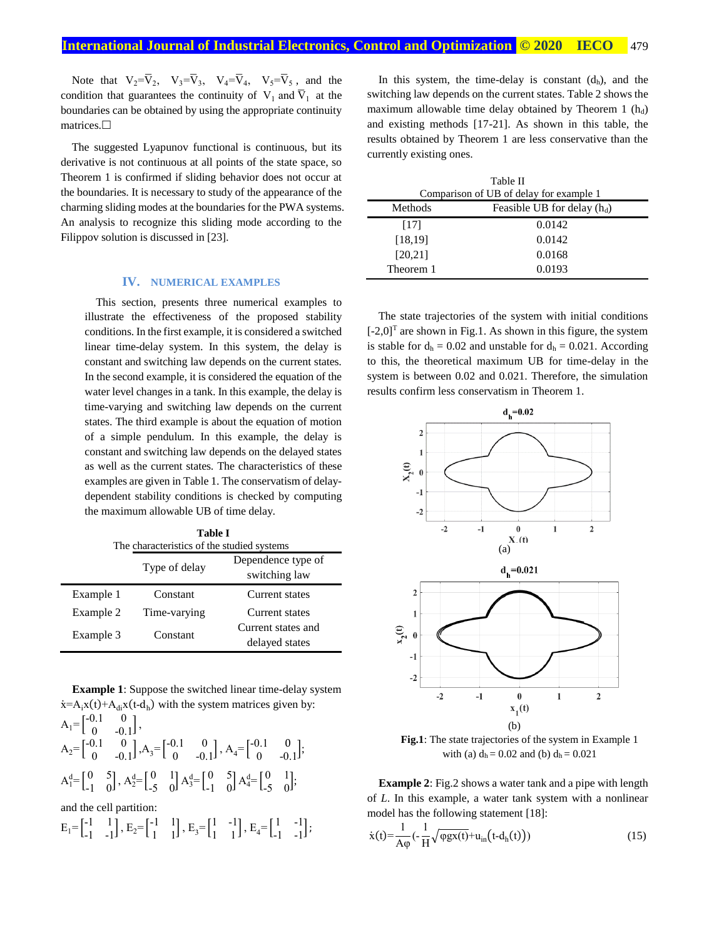Note that  $V_2 = \overline{V}_2$ ,  $V_3 = \overline{V}_3$ ,  $V_4 = \overline{V}_4$ ,  $V_5 = \overline{V}_5$ , and the condition that guarantees the continuity of  $V_1$  and  $\overline{V}_1$  at the boundaries can be obtained by using the appropriate continuity matrices.<sup>[]</sup>

The suggested Lyapunov functional is continuous, but its derivative is not continuous at all points of the state space, so Theorem 1 is confirmed if sliding behavior does not occur at the boundaries. It is necessary to study of the appearance of the charming sliding modes at the boundaries for the PWA systems. An analysis to recognize this sliding mode according to the Filippov solution is discussed in [23].

## **IV. NUMERICAL EXAMPLES**

This section, presents three numerical examples to illustrate the effectiveness of the proposed stability conditions. In the first example, it is considered a switched linear time-delay system. In this system, the delay is constant and switching law depends on the current states. In the second example, it is considered the equation of the water level changes in a tank. In this example, the delay is time-varying and switching law depends on the current states. The third example is about the equation of motion of a simple pendulum. In this example, the delay is constant and switching law depends on the delayed states as well as the current states. The characteristics of these examples are given in Table 1. The conservatism of delaydependent stability conditions is checked by computing the maximum allowable UB of time delay.

| <b>Table I</b><br>The characteristics of the studied systems |                                                      |                                      |  |  |
|--------------------------------------------------------------|------------------------------------------------------|--------------------------------------|--|--|
|                                                              | Dependence type of<br>Type of delay<br>switching law |                                      |  |  |
| Example 1                                                    | Constant                                             | Current states                       |  |  |
| Example 2                                                    | Time-varying                                         | Current states                       |  |  |
| Example 3                                                    | Constant                                             | Current states and<br>delayed states |  |  |

**Example 1**: Suppose the switched linear time-delay system  $\dot{x} = A_i x(t) + A_{di} x(t-d_h)$  with the system matrices given by:

|  | $A_1 = \begin{bmatrix} -0.1 & 0 \\ 0 & -0.1 \end{bmatrix},$ |  |                                                                                                                                                                                                                                 |  |
|--|-------------------------------------------------------------|--|---------------------------------------------------------------------------------------------------------------------------------------------------------------------------------------------------------------------------------|--|
|  |                                                             |  | $A_2 = \begin{bmatrix} -0.1 & 0 \\ 0 & -0.1 \end{bmatrix}, A_3 = \begin{bmatrix} -0.1 & 0 \\ 0 & -0.1 \end{bmatrix}, A_4 = \begin{bmatrix} -0.1 & 0 \\ 0 & -0.1 \end{bmatrix};$                                                 |  |
|  |                                                             |  | $A_1^d = \begin{bmatrix} 0 & 5 \\ -1 & 0 \end{bmatrix}$ , $A_2^d = \begin{bmatrix} 0 & 1 \\ -5 & 0 \end{bmatrix} A_3^d = \begin{bmatrix} 0 & 5 \\ -1 & 0 \end{bmatrix} A_4^d = \begin{bmatrix} 0 & 1 \\ -5 & 0 \end{bmatrix}$ ; |  |

and the cell partition:

$$
E_1\hspace{-0.1cm}=\hspace{-0.1cm}\begin{bmatrix}-1&1\\-1&-1\end{bmatrix},\,E_2\hspace{-0.1cm}=\hspace{-0.1cm}\begin{bmatrix}-1&1\\1&1\end{bmatrix},\,E_3\hspace{-0.1cm}=\hspace{-0.1cm}\begin{bmatrix}1&-1\\1&1\end{bmatrix},\,E_4\hspace{-0.1cm}=\hspace{-0.1cm}\begin{bmatrix}1&-1\\-1&-1\end{bmatrix};
$$

In this system, the time-delay is constant  $(d<sub>h</sub>)$ , and the switching law depends on the current states. Table 2 shows the maximum allowable time delay obtained by Theorem 1  $(h_d)$ and existing methods [17-21]. As shown in this table, the results obtained by Theorem 1 are less conservative than the currently existing ones.

| Table II                                |                               |  |
|-----------------------------------------|-------------------------------|--|
| Comparison of UB of delay for example 1 |                               |  |
| Methods                                 | Feasible UB for delay $(h_d)$ |  |
| [17]                                    | 0.0142                        |  |
| [18, 19]                                | 0.0142                        |  |
| [20, 21]                                | 0.0168                        |  |
| Theorem 1                               | 0.0193                        |  |

The state trajectories of the system with initial conditions  $[-2,0]$ <sup>T</sup> are shown in Fig.1. As shown in this figure, the system is stable for  $d_h = 0.02$  and unstable for  $d_h = 0.021$ . According to this, the theoretical maximum UB for time-delay in the system is between 0.02 and 0.021. Therefore, the simulation results confirm less conservatism in Theorem 1.



**Fig.1**: The *s*tate trajectories of the system in Example 1 with (a)  $d_h = 0.02$  and (b)  $d_h = 0.021$ 

**Example 2**: Fig.2 shows a water tank and a pipe with length of *L*. In this example, a water tank system with a nonlinear model has the following statement [18]:

$$
\dot{x}(t) = \frac{1}{A\varphi} \left( -\frac{1}{H} \sqrt{\varphi g x(t)} + u_{in} \left( t - d_h(t) \right) \right) \tag{15}
$$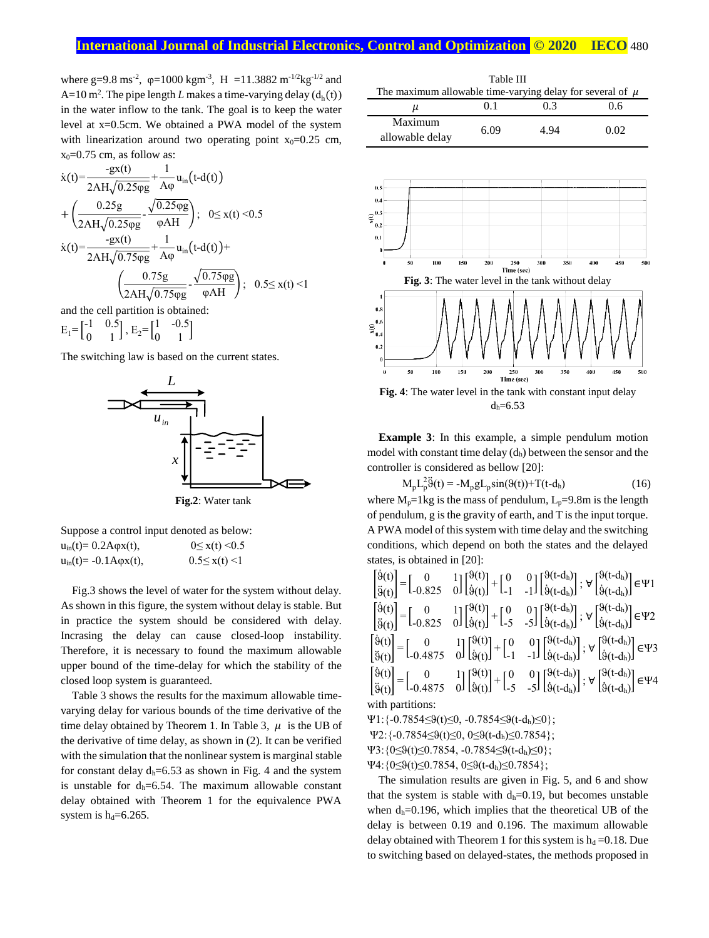## **International Journal of Industrial Electronics, Control and Optimization © 2020 IECO** 480

where g=9.8 ms<sup>-2</sup>,  $\varphi$ =1000 kgm<sup>-3</sup>, H =11.3882 m<sup>-1/2</sup>kg<sup>-1/2</sup> and  $A=10$  m<sup>2</sup>. The pipe length *L* makes a time-varying delay  $(d<sub>h</sub>(t))$ in the water inflow to the tank. The goal is to keep the water level at x=0.5cm. We obtained a PWA model of the system with linearization around two operating point  $x_0=0.25$  cm,  $x_0=0.75$  cm, as follow as:

$$
\dot{x}(t) = \frac{-gx(t)}{2AH\sqrt{0.25\varphi g}} + \frac{1}{A\varphi} u_{in}(t-d(t))
$$
\n
$$
+ \left(\frac{0.25g}{2AH\sqrt{0.25\varphi g}} - \frac{\sqrt{0.25\varphi g}}{\varphi AH}\right); \quad 0 \le x(t) < 0.5
$$
\n
$$
\dot{x}(t) = \frac{-gx(t)}{2AH\sqrt{0.75\varphi g}} + \frac{1}{A\varphi} u_{in}(t-d(t)) + \left(\frac{0.75g}{2AH\sqrt{0.75\varphi g}} - \frac{\sqrt{0.75\varphi g}}{\varphi AH}\right); \quad 0.5 \le x(t) < 1
$$
\nand the cell partition is obtained:\n
$$
\frac{1}{2} \int_{0.5}^{5} \frac{1}{2} \cdot 0.5 = 1.65
$$

 $E_1 = \begin{bmatrix} -1 & 0.5 \\ 0 & 1 \end{bmatrix}$  $\begin{bmatrix} 1 & 0.5 \\ 0 & 1 \end{bmatrix}$ , E<sub>2</sub>= $\begin{bmatrix} 1 & -0.5 \\ 0 & 1 \end{bmatrix}$  $\begin{bmatrix} 1 & -0.5 \\ 0 & 1 \end{bmatrix}$ 

The switching law is based on the current states.



**Fig.2**: Water tank

|                                  | Suppose a control input denoted as below: |
|----------------------------------|-------------------------------------------|
| $u_{in}(t) = 0.2A\varphi x(t),$  | $0 \leq x(t) \leq 0.5$                    |
| $u_{in}(t) = -0.1A\varphi x(t),$ | $0.5 \leq x(t) \leq 1$                    |

Fig.3 shows the level of water for the system without delay. As shown in this figure, the system without delay is stable. But in practice the system should be considered with delay. Incrasing the delay can cause closed-loop instability. Therefore, it is necessary to found the maximum allowable upper bound of the time-delay for which the stability of the closed loop system is guaranteed.

Table 3 shows the results for the maximum allowable timevarying delay for various bounds of the time derivative of the time delay obtained by Theorem 1. In Table 3,  $\mu$  is the UB of the derivative of time delay, as shown in (2). It can be verified with the simulation that the nonlinear system is marginal stable for constant delay  $d_h=6.53$  as shown in Fig. 4 and the system is unstable for  $d_h=6.54$ . The maximum allowable constant delay obtained with Theorem 1 for the equivalence PWA system is  $h_d = 6.265$ .

| Table III                                                     |      |      |      |  |
|---------------------------------------------------------------|------|------|------|--|
| The maximum allowable time-varying delay for several of $\mu$ |      |      |      |  |
| μ                                                             | 0.1  | 03   | 0.6  |  |
| Maximum<br>allowable delay                                    | 6.09 | 4.94 | 0.02 |  |



 $\begin{array}{c|c}\nx & \text{or} & \text{controller is considered as below [20]}\n\end{array}$ **Example 3**: In this example, a simple pendulum motion model with constant time delay  $(d_h)$  between the sensor and the

$$
M_{p}L_{p}^{2}\ddot{\theta}(t) = -M_{p}gL_{p}\sin(\theta(t)) + T(t-d_{h})
$$
\n(16)

where  $M_p=1$ kg is the mass of pendulum,  $L_p=9.8$ m is the length of pendulum, g is the gravity of earth, and T is the input torque. A PWA model of this system with time delay and the switching conditions, which depend on both the states and the delayed states, is obtained in [20]:

$$
\begin{bmatrix}\n\dot{\mathfrak{g}}(t) \\
\dot{\mathfrak{g}}(t)\n\end{bmatrix} = \n\begin{bmatrix}\n0 & 1 \\
0.825 & 0\n\end{bmatrix}\n\begin{bmatrix}\n\mathfrak{g}(t) \\
\dot{\mathfrak{g}}(t)\n\end{bmatrix} + \n\begin{bmatrix}\n0 & 0 \\
1 & -1\n\end{bmatrix}\n\begin{bmatrix}\n\mathfrak{g}(t-d_h) \\
\dot{\mathfrak{g}}(t-d_h)\n\end{bmatrix}; \ \nabla \begin{bmatrix}\n\mathfrak{g}(t-d_h) \\
\dot{\mathfrak{g}}(t-d_h)\n\end{bmatrix} \in \Psi_1
$$
\n
$$
\begin{bmatrix}\n\dot{\mathfrak{g}}(t) \\
\ddot{\mathfrak{g}}(t)\n\end{bmatrix} = \n\begin{bmatrix}\n0 & 1 \\
0.825 & 0\n\end{bmatrix}\n\begin{bmatrix}\n\mathfrak{g}(t) \\
\dot{\mathfrak{g}}(t)\n\end{bmatrix} + \n\begin{bmatrix}\n0 & 0 \\
-5 & -5\n\end{bmatrix}\n\begin{bmatrix}\n\mathfrak{g}(t-d_h) \\
\dot{\mathfrak{g}}(t-d_h)\n\end{bmatrix}; \ \nabla \begin{bmatrix}\n\mathfrak{g}(t-d_h) \\
\dot{\mathfrak{g}}(t-d_h)\n\end{bmatrix} \in \Psi_2
$$
\n
$$
\begin{bmatrix}\n\dot{\mathfrak{g}}(t) \\
\ddot{\mathfrak{g}}(t)\n\end{bmatrix} = \n\begin{bmatrix}\n0 & 1 \\
0.4875 & 0\n\end{bmatrix}\n\begin{bmatrix}\n\mathfrak{g}(t) \\
\dot{\mathfrak{g}}(t)\n\end{bmatrix} + \n\begin{bmatrix}\n0 & 0 \\
-5 & -5\n\end{bmatrix}\n\begin{bmatrix}\n\mathfrak{g}(t-d_h) \\
\dot{\mathfrak{g}}(t-d_h)\n\end{bmatrix}; \ \nabla \begin{bmatrix}\n\mathfrak{g}(t-d_h) \\
\dot{\mathfrak{g}}(t-d_h)\n\end{bmatrix} \in \Psi_3
$$
\nwith partitions:

 $\Psi$ 1:{-0.7854≤ $\Theta$ (t)≤0, -0.7854≤ $\Theta$ (t-d<sub>h</sub>)≤0};

 $\Psi$ 2:{-0.7854≤ $\Theta$ (t)≤0, 0≤ $\Theta$ (t-d<sub>h</sub>)≤0.7854};

 $\Psi$ 3:{0≤θ(t)≤0.7854, -0.7854≤θ(t-d<sub>h</sub>)≤0};

 $\Psi$ 4: {0≤θ(t)≤0.7854, 0≤θ(t-d<sub>h</sub>)≤0.7854};

The simulation results are given in Fig. 5, and 6 and show that the system is stable with  $d_h=0.19$ , but becomes unstable when  $d_h=0.196$ , which implies that the theoretical UB of the delay is between 0.19 and 0.196. The maximum allowable delay obtained with Theorem 1 for this system is  $h_d = 0.18$ . Due to switching based on delayed-states, the methods proposed in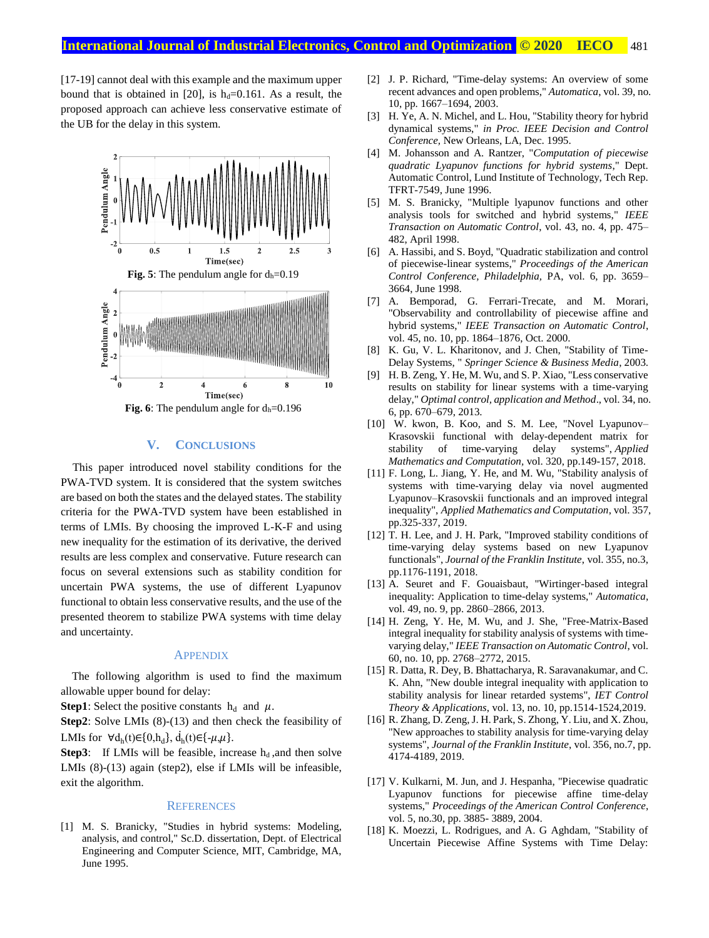[17-19] cannot deal with this example and the maximum upper bound that is obtained in [20], is  $h_d=0.161$ . As a result, the proposed approach can achieve less conservative estimate of the UB for the delay in this system.



## **V. CONCLUSIONS**

This paper introduced novel stability conditions for the PWA-TVD system. It is considered that the system switches are based on both the states and the delayed states. The stability criteria for the PWA-TVD system have been established in terms of LMIs. By choosing the improved L-K-F and using new inequality for the estimation of its derivative, the derived results are less complex and conservative. Future research can focus on several extensions such as stability condition for uncertain PWA systems, the use of different Lyapunov functional to obtain less conservative results, and the use of the presented theorem to stabilize PWA systems with time delay and uncertainty.

#### **APPENDIX**

The following algorithm is used to find the maximum allowable upper bound for delay:

**Step1**: Select the positive constants  $h_d$  and  $\mu$ .

**Step2**: Solve LMIs (8)-(13) and then check the feasibility of LMIs for  $\forall d_h(t) \in \{0, h_d\}$ ,  $\dot{d}_h(t) \in \{\mu, \mu\}$ .

**Step3**: If LMIs will be feasible, increase  $h_d$ , and then solve LMIs (8)-(13) again (step2), else if LMIs will be infeasible, exit the algorithm.

### **REFERENCES**

[1] M. S. Branicky, "Studies in hybrid systems: Modeling, analysis, and control," Sc.D. dissertation, Dept. of Electrical Engineering and Computer Science, MIT, Cambridge, MA, June 1995.

- [2] J. P. Richard, "Time-delay systems: An overview of some recent advances and open problems," *Automatica*, vol. 39, no. 10, pp. 1667–1694, 2003.
- [3] H. Ye, A. N. Michel, and L. Hou, "Stability theory for hybrid dynamical systems," *in Proc. IEEE Decision and Control Conference,* New Orleans, LA, Dec. 1995.
- [4] M. Johansson and A. Rantzer, "*Computation of piecewise quadratic Lyapunov functions for hybrid systems*," Dept. Automatic Control, Lund Institute of Technology, Tech Rep. TFRT-7549, June 1996.
- [5] M. S. Branicky, "Multiple lyapunov functions and other analysis tools for switched and hybrid systems," *IEEE Transaction on Automatic Control*, vol. 43, no. 4, pp. 475– 482, April 1998.
- [6] A. Hassibi, and S. Boyd, "Quadratic stabilization and control of piecewise-linear systems," *Proceedings of the American Control Conference, Philadelphia,* PA, vol. 6, pp. 3659– 3664, June 1998.
- [7] A. Bemporad, G. Ferrari-Trecate, and M. Morari, "Observability and controllability of piecewise affine and hybrid systems," *IEEE Transaction on Automatic Control*, vol. 45, no. 10, pp. 1864–1876, Oct. 2000.
- [8] K. Gu, V. L. Kharitonov, and J. Chen, "Stability of Time-Delay Systems, " *Springer Science & Business Media*, 2003.
- [9] H. B. Zeng, Y. He, M. Wu, and S. P. Xiao, "Less conservative results on stability for linear systems with a time-varying delay," *Optimal control, application and Method*., vol. 34, no. 6, pp. 670–679, 2013.
- [10] W. kwon, B. Koo, and S. M. Lee, "Novel Lyapunov– Krasovskii functional with delay-dependent matrix for stability of time-varying delay systems", *Applied Mathematics and Computation,* vol. 320, pp.149-157, 2018.
- [11] F. Long, L. Jiang, Y. He, and M. Wu, "Stability analysis of systems with time-varying delay via novel augmented Lyapunov–Krasovskii functionals and an improved integral inequality", *Applied Mathematics and Computation*, vol. 357, pp.325-337, 2019.
- [12] T. H. Lee, and J. H. Park, "Improved stability conditions of time-varying delay systems based on new Lyapunov functionals", *Journal of the Franklin Institute*, vol. 355, no.3, pp.1176-1191, 2018.
- [13] A. Seuret and F. Gouaisbaut, "Wirtinger-based integral inequality: Application to time-delay systems," *Automatica*, vol. 49, no. 9, pp. 2860–2866, 2013.
- [14] H. Zeng, Y. He, M. Wu, and J. She, "Free-Matrix-Based integral inequality for stability analysis of systems with timevarying delay," *IEEE Transaction on Automatic Control*, vol. 60, no. 10, pp. 2768–2772, 2015.
- [15] R. Datta, R. Dey, B. Bhattacharya, R. Saravanakumar, and C. K. Ahn, "New double integral inequality with application to stability analysis for linear retarded systems", *IET Control Theory & Applications*, vol. 13, no. 10, pp.1514-1524,2019.
- [16] R. Zhang, D. Zeng, J. H. Park, S. Zhong, Y. Liu, and X. Zhou, "New approaches to stability analysis for time-varying delay systems", *Journal of the Franklin Institute*, vol. 356, no.7, pp. 4174-4189, 2019.
- [17] V. Kulkarni, M. Jun, and J. Hespanha, "Piecewise quadratic Lyapunov functions for piecewise affine time-delay systems," *Proceedings of the American Control Conference*, vol. 5, no.30, pp. 3885- 3889, 2004.
- [18] K. Moezzi, L. Rodrigues, and A. G Aghdam, "Stability of Uncertain Piecewise Affine Systems with Time Delay: